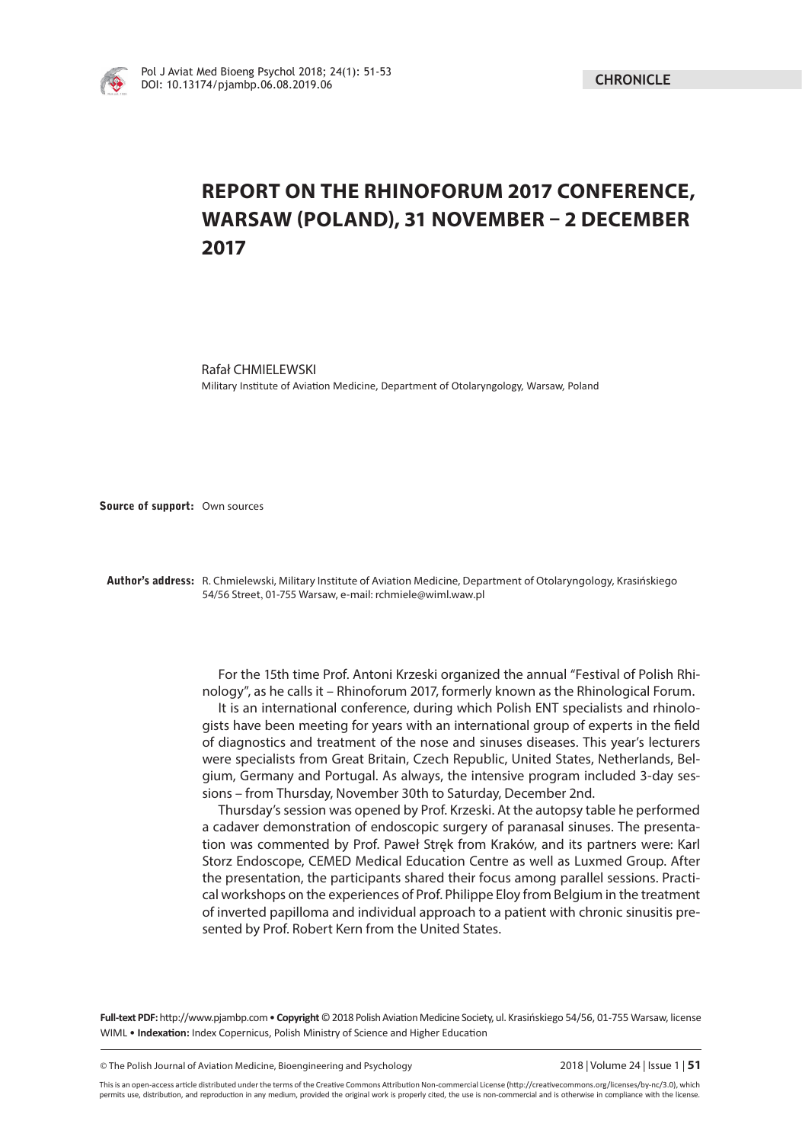

## **REPORT ON THE RHINOFORUM 2017 CONFERENCE, WARSAW (POLAND), 31 NOVEMBER – 2 DECEMBER 2017**

Rafał CHMIELEWSKI Military Institute of Aviation Medicine, Department of Otolaryngology, Warsaw, Poland

**Source of support:** Own sources

**Author's address:** R. Chmielewski, Military Institute of Aviation Medicine, Department of Otolaryngology, Krasińskiego 54/56 Street, 01-755 Warsaw, e-mail: rchmiele@wiml.waw.pl

> For the 15th time Prof. Antoni Krzeski organized the annual "Festival of Polish Rhinology", as he calls it – Rhinoforum 2017, formerly known as the Rhinological Forum. It is an international conference, during which Polish ENT specialists and rhinologists have been meeting for years with an international group of experts in the field of diagnostics and treatment of the nose and sinuses diseases. This year's lecturers were specialists from Great Britain, Czech Republic, United States, Netherlands, Belgium, Germany and Portugal. As always, the intensive program included 3-day sessions – from Thursday, November 30th to Saturday, December 2nd.

> Thursday's session was opened by Prof. Krzeski. At the autopsy table he performed a cadaver demonstration of endoscopic surgery of paranasal sinuses. The presentation was commented by Prof. Paweł Stręk from Kraków, and its partners were: Karl Storz Endoscope, CEMED Medical Education Centre as well as Luxmed Group. After the presentation, the participants shared their focus among parallel sessions. Practical workshops on the experiences of Prof. Philippe Eloy from Belgium in the treatment of inverted papilloma and individual approach to a patient with chronic sinusitis presented by Prof. Robert Kern from the United States.

Full-text PDF: http://www.pjambp.com • Copyright © 2018 Polish Aviation Medicine Society, ul. Krasińskiego 54/56, 01-755 Warsaw, license WIML • Indexation: Index Copernicus, Polish Ministry of Science and Higher Education

© The Polish Journal of Aviation Medicine, Bioengineering and Psychology 2018 | Volume 24 | Issue 1 | **51**

This is an open-access article distributed under the terms of the Creative Commons Attribution Non-commercial License (http://creativecommons.org/licenses/by-nc/3.0), which permits use, distribution, and reproduction in any medium, provided the original work is properly cited, the use is non-commercial and is otherwise in compliance with the license.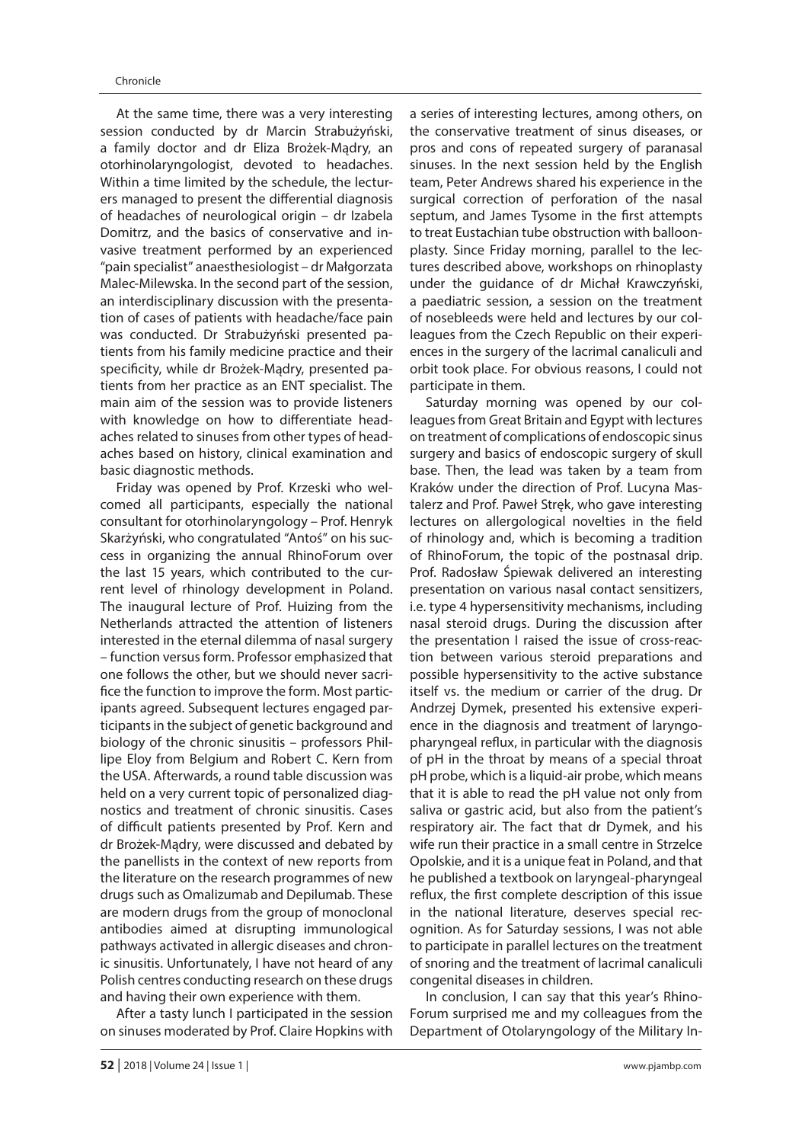At the same time, there was a very interesting session conducted by dr Marcin Strabużyński, a family doctor and dr Eliza Brożek-Mądry, an otorhinolaryngologist, devoted to headaches. Within a time limited by the schedule, the lecturers managed to present the differential diagnosis of headaches of neurological origin – dr Izabela Domitrz, and the basics of conservative and invasive treatment performed by an experienced "pain specialist" anaesthesiologist – dr Małgorzata Malec-Milewska. In the second part of the session, an interdisciplinary discussion with the presentation of cases of patients with headache/face pain was conducted. Dr Strabużyński presented patients from his family medicine practice and their specificity, while dr Brożek-Madry, presented patients from her practice as an ENT specialist. The main aim of the session was to provide listeners with knowledge on how to differentiate headaches related to sinuses from other types of headaches based on history, clinical examination and basic diagnostic methods.

Friday was opened by Prof. Krzeski who welcomed all participants, especially the national consultant for otorhinolaryngology – Prof. Henryk Skarżyński, who congratulated "Antoś" on his success in organizing the annual RhinoForum over the last 15 years, which contributed to the current level of rhinology development in Poland. The inaugural lecture of Prof. Huizing from the Netherlands attracted the attention of listeners interested in the eternal dilemma of nasal surgery – function versus form. Professor emphasized that one follows the other, but we should never sacrifice the function to improve the form. Most participants agreed. Subsequent lectures engaged participants in the subject of genetic background and biology of the chronic sinusitis – professors Phillipe Eloy from Belgium and Robert C. Kern from the USA. Afterwards, a round table discussion was held on a very current topic of personalized diagnostics and treatment of chronic sinusitis. Cases of difficult patients presented by Prof. Kern and dr Brożek-Mądry, were discussed and debated by the panellists in the context of new reports from the literature on the research programmes of new drugs such as Omalizumab and Depilumab. These are modern drugs from the group of monoclonal antibodies aimed at disrupting immunological pathways activated in allergic diseases and chronic sinusitis. Unfortunately, I have not heard of any Polish centres conducting research on these drugs and having their own experience with them.

After a tasty lunch I participated in the session on sinuses moderated by Prof. Claire Hopkins with

a series of interesting lectures, among others, on the conservative treatment of sinus diseases, or pros and cons of repeated surgery of paranasal sinuses. In the next session held by the English team, Peter Andrews shared his experience in the surgical correction of perforation of the nasal septum, and James Tysome in the first attempts to treat Eustachian tube obstruction with balloonplasty. Since Friday morning, parallel to the lectures described above, workshops on rhinoplasty under the guidance of dr Michał Krawczyński, a paediatric session, a session on the treatment of nosebleeds were held and lectures by our colleagues from the Czech Republic on their experiences in the surgery of the lacrimal canaliculi and orbit took place. For obvious reasons, I could not participate in them.

Saturday morning was opened by our colleagues from Great Britain and Egypt with lectures on treatment of complications of endoscopic sinus surgery and basics of endoscopic surgery of skull base. Then, the lead was taken by a team from Kraków under the direction of Prof. Lucyna Mastalerz and Prof. Paweł Stręk, who gave interesting lectures on allergological novelties in the field of rhinology and, which is becoming a tradition of RhinoForum, the topic of the postnasal drip. Prof. Radosław Śpiewak delivered an interesting presentation on various nasal contact sensitizers, i.e. type 4 hypersensitivity mechanisms, including nasal steroid drugs. During the discussion after the presentation I raised the issue of cross-reaction between various steroid preparations and possible hypersensitivity to the active substance itself vs. the medium or carrier of the drug. Dr Andrzej Dymek, presented his extensive experience in the diagnosis and treatment of laryngopharyngeal reflux, in particular with the diagnosis of pH in the throat by means of a special throat pH probe, which is a liquid-air probe, which means that it is able to read the pH value not only from saliva or gastric acid, but also from the patient's respiratory air. The fact that dr Dymek, and his wife run their practice in a small centre in Strzelce Opolskie, and it is a unique feat in Poland, and that he published a textbook on laryngeal-pharyngeal reflux, the first complete description of this issue in the national literature, deserves special recognition. As for Saturday sessions, I was not able to participate in parallel lectures on the treatment of snoring and the treatment of lacrimal canaliculi congenital diseases in children.

In conclusion, I can say that this year's Rhino-Forum surprised me and my colleagues from the Department of Otolaryngology of the Military In